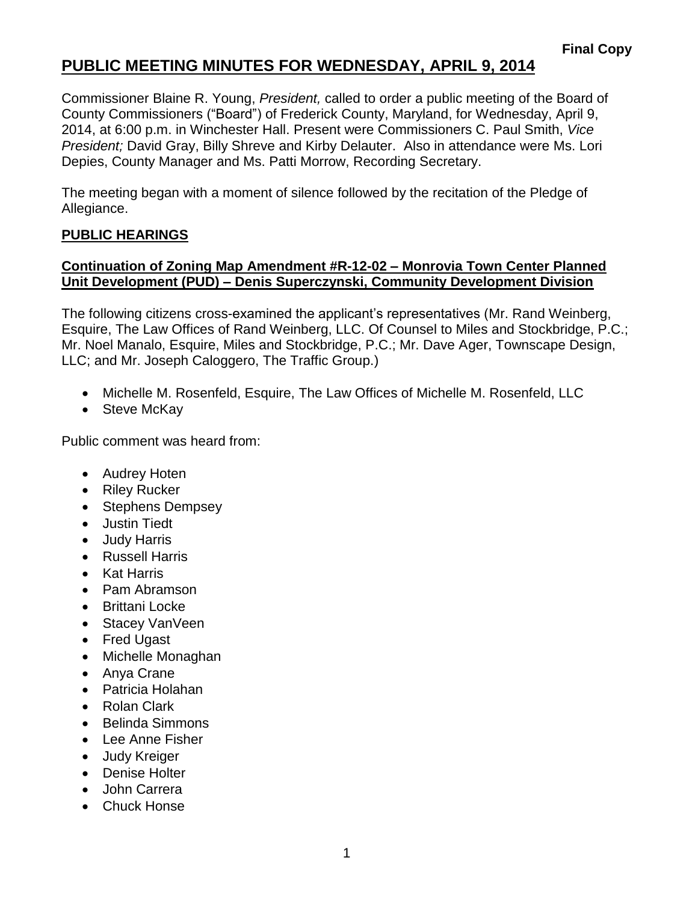# **PUBLIC MEETING MINUTES FOR WEDNESDAY, APRIL 9, 2014**

Commissioner Blaine R. Young, *President,* called to order a public meeting of the Board of County Commissioners ("Board") of Frederick County, Maryland, for Wednesday, April 9, 2014, at 6:00 p.m. in Winchester Hall. Present were Commissioners C. Paul Smith, *Vice President;* David Gray, Billy Shreve and Kirby Delauter. Also in attendance were Ms. Lori Depies, County Manager and Ms. Patti Morrow, Recording Secretary.

The meeting began with a moment of silence followed by the recitation of the Pledge of Allegiance.

#### **PUBLIC HEARINGS**

### **Continuation of Zoning Map Amendment #R-12-02 – Monrovia Town Center Planned Unit Development (PUD) – Denis Superczynski, Community Development Division**

The following citizens cross-examined the applicant's representatives (Mr. Rand Weinberg, Esquire, The Law Offices of Rand Weinberg, LLC. Of Counsel to Miles and Stockbridge, P.C.; Mr. Noel Manalo, Esquire, Miles and Stockbridge, P.C.; Mr. Dave Ager, Townscape Design, LLC; and Mr. Joseph Caloggero, The Traffic Group.)

- Michelle M. Rosenfeld, Esquire, The Law Offices of Michelle M. Rosenfeld, LLC
- Steve McKay

Public comment was heard from:

- Audrey Hoten
- Riley Rucker
- Stephens Dempsey
- Justin Tiedt
- Judy Harris
- Russell Harris
- Kat Harris
- Pam Abramson
- Brittani Locke
- Stacey VanVeen
- Fred Ugast
- Michelle Monaghan
- Anya Crane
- Patricia Holahan
- Rolan Clark
- Belinda Simmons
- Lee Anne Fisher
- Judy Kreiger
- Denise Holter
- John Carrera
- Chuck Honse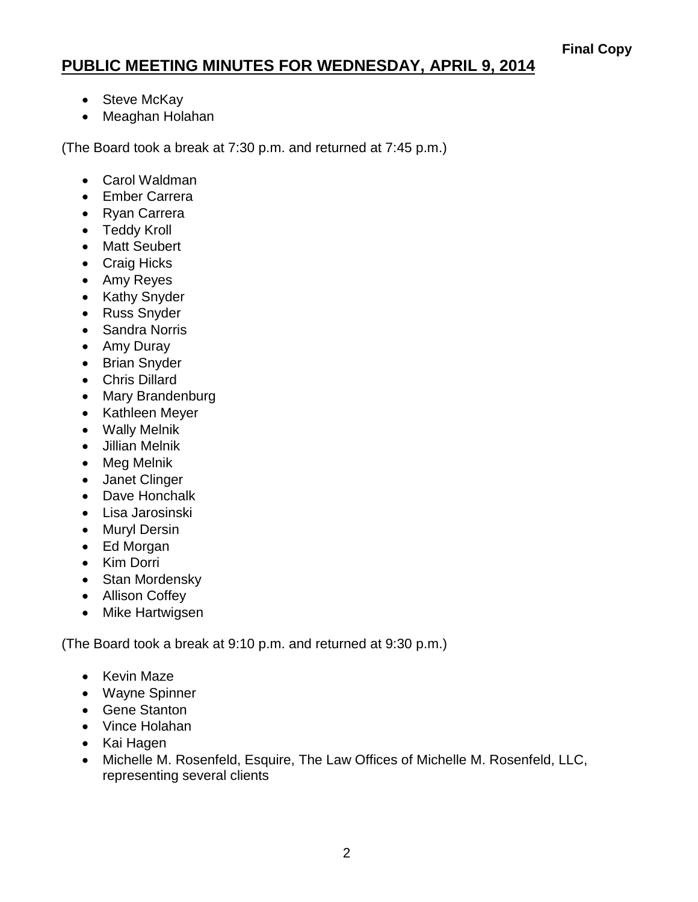# **PUBLIC MEETING MINUTES FOR WEDNESDAY, APRIL 9, 2014**

- Steve McKay
- Meaghan Holahan

(The Board took a break at 7:30 p.m. and returned at 7:45 p.m.)

- Carol Waldman
- Ember Carrera
- Ryan Carrera
- Teddy Kroll
- Matt Seubert
- Craig Hicks
- Amy Reyes
- Kathy Snyder
- Russ Snyder
- Sandra Norris
- Amy Duray
- Brian Snyder
- Chris Dillard
- Mary Brandenburg
- Kathleen Meyer
- Wally Melnik
- Jillian Melnik
- Meg Melnik
- Janet Clinger
- Dave Honchalk
- Lisa Jarosinski
- Muryl Dersin
- Ed Morgan
- Kim Dorri
- Stan Mordensky
- Allison Coffey
- Mike Hartwigsen

(The Board took a break at 9:10 p.m. and returned at 9:30 p.m.)

- Kevin Maze
- Wayne Spinner
- Gene Stanton
- Vince Holahan
- Kai Hagen
- Michelle M. Rosenfeld, Esquire, The Law Offices of Michelle M. Rosenfeld, LLC, representing several clients